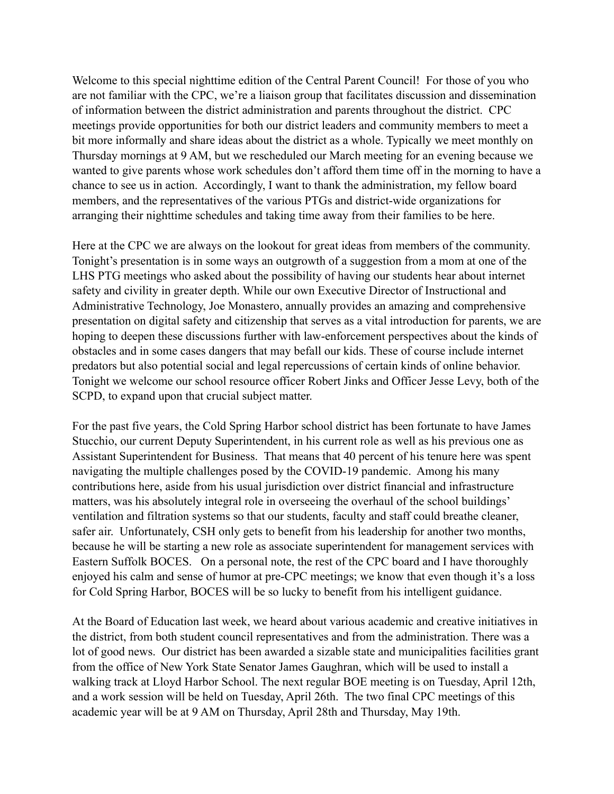Welcome to this special nighttime edition of the Central Parent Council! For those of you who are not familiar with the CPC, we're a liaison group that facilitates discussion and dissemination of information between the district administration and parents throughout the district. CPC meetings provide opportunities for both our district leaders and community members to meet a bit more informally and share ideas about the district as a whole. Typically we meet monthly on Thursday mornings at 9 AM, but we rescheduled our March meeting for an evening because we wanted to give parents whose work schedules don't afford them time off in the morning to have a chance to see us in action. Accordingly, I want to thank the administration, my fellow board members, and the representatives of the various PTGs and district-wide organizations for arranging their nighttime schedules and taking time away from their families to be here.

Here at the CPC we are always on the lookout for great ideas from members of the community. Tonight's presentation is in some ways an outgrowth of a suggestion from a mom at one of the LHS PTG meetings who asked about the possibility of having our students hear about internet safety and civility in greater depth. While our own Executive Director of Instructional and Administrative Technology, Joe Monastero, annually provides an amazing and comprehensive presentation on digital safety and citizenship that serves as a vital introduction for parents, we are hoping to deepen these discussions further with law-enforcement perspectives about the kinds of obstacles and in some cases dangers that may befall our kids. These of course include internet predators but also potential social and legal repercussions of certain kinds of online behavior. Tonight we welcome our school resource officer Robert Jinks and Officer Jesse Levy, both of the SCPD, to expand upon that crucial subject matter.

For the past five years, the Cold Spring Harbor school district has been fortunate to have James Stucchio, our current Deputy Superintendent, in his current role as well as his previous one as Assistant Superintendent for Business. That means that 40 percent of his tenure here was spent navigating the multiple challenges posed by the COVID-19 pandemic. Among his many contributions here, aside from his usual jurisdiction over district financial and infrastructure matters, was his absolutely integral role in overseeing the overhaul of the school buildings' ventilation and filtration systems so that our students, faculty and staff could breathe cleaner, safer air. Unfortunately, CSH only gets to benefit from his leadership for another two months, because he will be starting a new role as associate superintendent for management services with Eastern Suffolk BOCES. On a personal note, the rest of the CPC board and I have thoroughly enjoyed his calm and sense of humor at pre-CPC meetings; we know that even though it's a loss for Cold Spring Harbor, BOCES will be so lucky to benefit from his intelligent guidance.

At the Board of Education last week, we heard about various academic and creative initiatives in the district, from both student council representatives and from the administration. There was a lot of good news. Our district has been awarded a sizable state and municipalities facilities grant from the office of New York State Senator James Gaughran, which will be used to install a walking track at Lloyd Harbor School. The next regular BOE meeting is on Tuesday, April 12th, and a work session will be held on Tuesday, April 26th. The two final CPC meetings of this academic year will be at 9 AM on Thursday, April 28th and Thursday, May 19th.